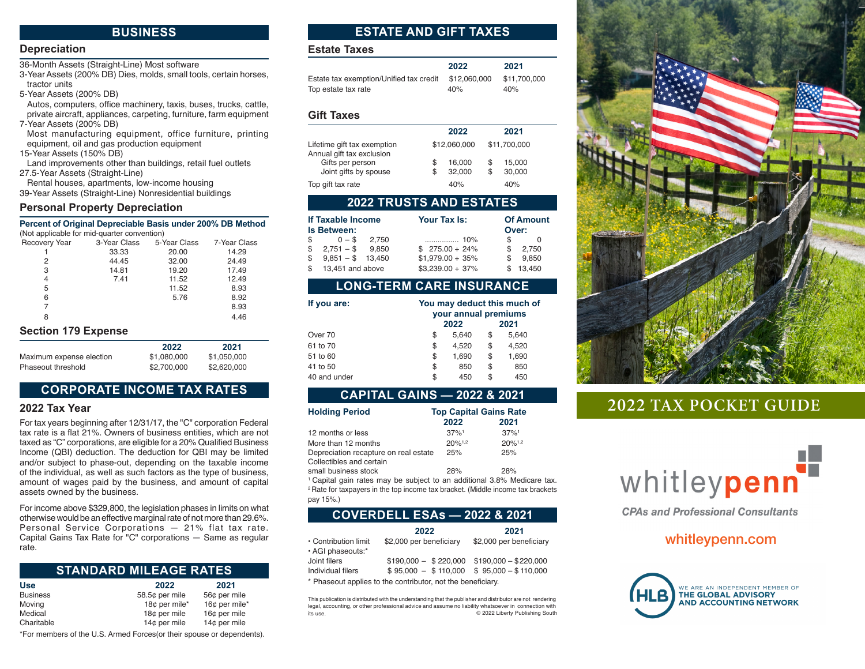# **BUSINESS BUSINESS**

# **Depreciation Depreciation**

36-Month Assets (Straight-Line) Most software

3-Year Assets (200% DB) Dies, molds, small tools, certain horses, 36-Month Assets (Straight-Line) Most software tractor units 3-Year Assets (200% DB) Dies, molds, small tools, certain horses, tractor units

5-Year Assets (200% DB) 5-Year Assets (200% DB)

Autos, computers, office machinery, taxis, buses, trucks, cattle, Autos, computers, office machinery, taxis, buses, trucks, private aircraft, appliances, carpeting, furniture, farm equipment 7-Year Assets (200% DB) os, computers, onice machinery, taxis, buses, trucks, c

Most manufacturing equipment, office furniture, printing Most manufacturing equipment, office furniture, equipment, oil and gas production equipment st manufacturing equipment, office f

15-Year Assets (150% DB)

Land improvements other than buildings, retail fuel outlets 27.5-Year Assets (Straight-Line)

Rental houses, apartments, low-income housing

39-Year Assets (Straight-Line) Nonresidential buildings<br>**Personal Property Department** 

#### **Personal Property Depreciation Percent of Original Depreciable Basis under 200% DB Method**

#### **Percent of Original Depreciable Basis under 200% DB Method** (Not applicable for mid-quarter convention) cent of Original Depreciable Bas

| <b>Recovery Year</b> | 3-Year Class | 5-Year Class | 7-Year Class |
|----------------------|--------------|--------------|--------------|
|                      | 33.33        | 20.00        | 14.29        |
| 2                    | 44.45        | 32.00        | 24.49        |
| 3                    | 14.81        | 19.20        | 17.49        |
| 4                    | 7.41         | 11.52        | 12.49        |
| 5                    |              | 11.52        | 8.93         |
| 6                    |              | 5.76         | 8.92         |
| 7                    |              |              | 8.93         |
| 8                    |              |              | 4.46         |
| Soction 170 Evnoneo  |              |              |              |

### **Section 179 Expense Section 179 Expense**

|                          | 2022        | 2021        |
|--------------------------|-------------|-------------|
| Maximum expense election | \$1.080.000 | \$1.050.000 |
| Phaseout threshold       | \$2,700,000 | \$2,620,000 |

# **CORPORATE INCOME TAX RATES CORPORATE INCOME TAX RATES**

### **2022 Tax Year 2022 Tax Year**

For tax years beginning after 12/31/17, the "C" corporation Federal For tax years beginning after 12/31/17, the "C" corporation Federal tax rate is a tax rate is a flat 21%. Owners of business entities, which are not taxed as "C" corporations, are eligible for a 20% Qualified Business Income (QBI) deduction. The deduction for QBI may be limited and/or subject to phase-out, depending on the taxable income of the individual, as well as such factors as the type of business, amount of wages paid by the business, and amount of capital assets owned by the business. flax years beginning after 12/31/17, the "C" corporation Federal

For income above \$329,800, the legislation phases in limits on what otherwise would be an effective marginal rate of not more than 29.6%. oncial Service Corporations - 21% flat tax rate. Capital Gains Tax Rate for "C" corporations — Same as regular **Use 2022 2021** rate.  $B_{\rm s}$ 

### STANDARD MILEAGE RATES

| <b>Use</b>      | 2022           | 2021          |
|-----------------|----------------|---------------|
| <b>Business</b> | 58.5¢ per mile | 56¢ per mile  |
| Moving          | 18¢ per mile*  | 16¢ per mile* |
| Medical         | 18¢ per mile   | 16¢ per mile  |
| Charitable      | 14¢ per mile   | 14¢ per mile  |

\*For members of the U.S. Armed Forces(or their spouse or dependents).

# **ESTATE AND GIFT TAXES ESTATE AND GIFT TAXES**

# **Estate Taxes Estate Taxes**

|                                         | 2022         | 2021         |
|-----------------------------------------|--------------|--------------|
| Estate tax exemption/Unified tax credit | \$12.060.000 | \$11.700.000 |
| Top estate tax rate                     | 40%          | 40%          |
|                                         |              |              |

# **Gift Taxes Gift Taxes**

|                                                          |        | 2022             |   | 2021             |  |
|----------------------------------------------------------|--------|------------------|---|------------------|--|
| Lifetime gift tax exemption<br>Annual gift tax exclusion |        | \$12,060,000     |   | \$11,700,000     |  |
| Gifts per person<br>Joint gifts by spouse                | S<br>S | 16.000<br>32.000 | S | 15,000<br>30,000 |  |
| Top gift tax rate                                        |        | 40%              |   | 40%              |  |

### **2022 TRUSTS AND ESTATES**

| If Taxable Income<br>Is Between: |       | Your Tax Is:       |   | <b>Of Amount</b><br>Over: |  |
|----------------------------------|-------|--------------------|---|---------------------------|--|
| \$<br>$0 - S$                    | 2.750 |                    | S | $\Omega$                  |  |
| $$2.751 - $9.850$                |       | $$275.00 + 24\%$   | S | 2,750                     |  |
| \$<br>$9,851 - $ 13,450$         |       | $$1,979.00 + 35\%$ | S | 9.850                     |  |
| \$ 13,451 and above              |       | $$3,239.00 + 37\%$ |   | 13.450                    |  |
|                                  |       |                    |   |                           |  |

# **LONG-TERM CARE INSURANCE**

| If you are:  | You may deduct this much of<br>your annual premiums |       |    |       |
|--------------|-----------------------------------------------------|-------|----|-------|
|              |                                                     | 2022  |    | 2021  |
| Over 70      | S                                                   | 5,640 | S  | 5,640 |
| 61 to 70     | \$                                                  | 4,520 | \$ | 4,520 |
| 51 to 60     | \$                                                  | 1,690 | \$ | 1,690 |
| 41 to 50     | \$                                                  | 850   | \$ | 850   |
| 40 and under | \$                                                  | 450   | \$ | 450   |

# **CAPITAL GAINS — 2022 & 2021 CAPITAL GAINS — 2022 & 2021**

| <b>Holding Period</b>                 | <b>Top Capital Gains Rate</b> |                      |  |
|---------------------------------------|-------------------------------|----------------------|--|
|                                       | 2022                          | 2021                 |  |
| 12 months or less                     | 37%1                          | $.37\%$ <sup>1</sup> |  |
| More than 12 months                   | $20%^{1,2}$                   | $20%^{1,2}$          |  |
| Depreciation recapture on real estate | 25%                           | 25%                  |  |
| Collectibles and certain              |                               |                      |  |
| small business stock                  | 28%                           | 28%                  |  |

 $1$  Capital gain rates may be subject to an additional 3.8% Medicare tax. <sup>2</sup> Rate for taxpayers in the top income tax bracket. (Middle income tax brackets pay 15%.)

|  | COVERDELL ESAs — 2022 & 2021 <sup> </sup> |  |
|--|-------------------------------------------|--|
|  |                                           |  |

|                      | 2022                    | 2021                    |
|----------------------|-------------------------|-------------------------|
| • Contribution limit | \$2,000 per beneficiary | \$2,000 per beneficiary |
| · AGI phaseouts:*    |                         |                         |
| Joint filers         | $$190,000 - $220,000$   | $$190.000 - $220.000$   |
| Individual filers    | $$95.000 - $110.000$    | $$95.000 - $110.000$    |

\* Phaseout applies to the contributor, not the beneficiary. \* Phaseout applies to the contributor, not the beneficiary.

This publication is distributed with the understanding that the publisher and distributor are not rendering This publication is distributed with the understanding that the publisher and distributor are not Fins publication is distributed with the understanding that the publisher and distribution are not reindentify<br>legal, accounting, or other professional advice and assume no liability whatsoever in connection with its use. © 2022 Liberty Publishing South



# **2022 TAX POCKET GUIDE**



**CPAs and Professional Consultants** 

# whitleypenn.com